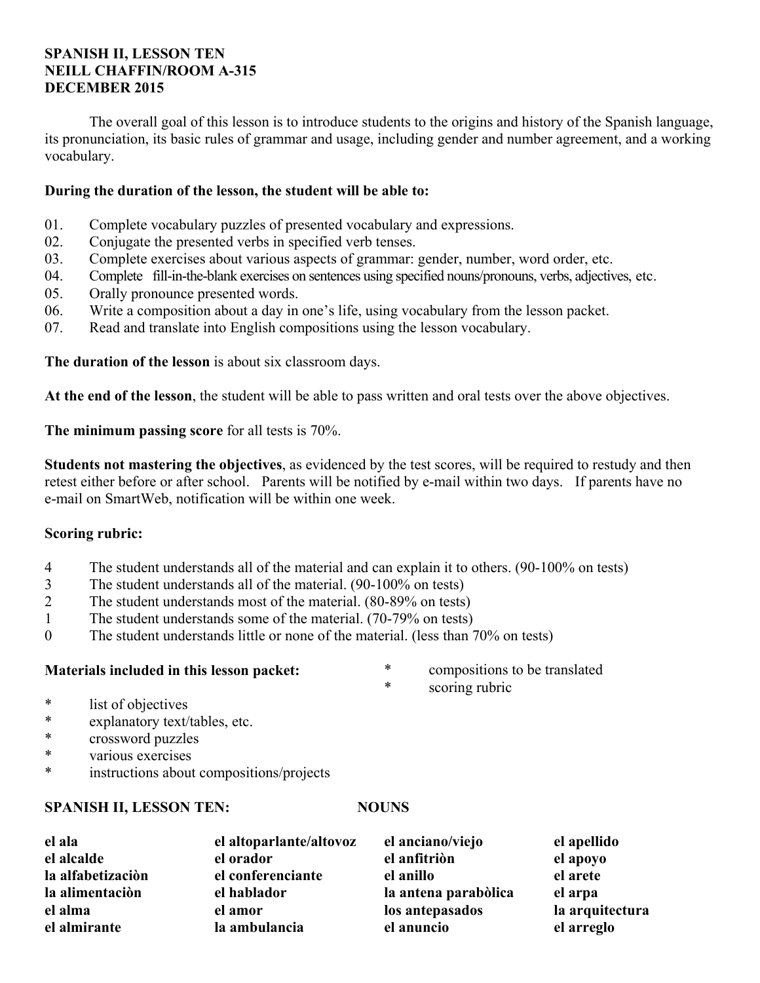### **SPANISH II, LESSON TEN NEILL CHAFFIN/ROOM A-315 DECEMBER 2015**

 The overall goal of this lesson is to introduce students to the origins and history of the Spanish language, its pronunciation, its basic rules of grammar and usage, including gender and number agreement, and a working vocabulary.

## **During the duration of the lesson, the student will be able to:**

- 01. Complete vocabulary puzzles of presented vocabulary and expressions.
- 02. Conjugate the presented verbs in specified verb tenses.
- 03. Complete exercises about various aspects of grammar: gender, number, word order, etc.
- 04. Complete fill-in-the-blank exercises on sentences using specified nouns/pronouns, verbs, adjectives, etc.
- 05. Orally pronounce presented words.
- 06. Write a composition about a day in one's life, using vocabulary from the lesson packet.
- 07. Read and translate into English compositions using the lesson vocabulary.

**The duration of the lesson** is about six classroom days.

**At the end of the lesson**, the student will be able to pass written and oral tests over the above objectives.

**The minimum passing score** for all tests is 70%.

**Students not mastering the objectives**, as evidenced by the test scores, will be required to restudy and then retest either before or after school. Parents will be notified by e-mail within two days. If parents have no e-mail on SmartWeb, notification will be within one week.

## **Scoring rubric:**

- 4 The student understands all of the material and can explain it to others. (90-100% on tests)
- 3 The student understands all of the material. (90-100% on tests)
- 2 The student understands most of the material. (80-89% on tests)
- 1 The student understands some of the material. (70-79% on tests)
- 0 The student understands little or none of the material. (less than 70% on tests)

## **Materials included in this lesson packet:**

- \* compositions to be translated
- \* scoring rubric

- \* list of objectives
- \* explanatory text/tables, etc.
- \* crossword puzzles
- \* various exercises
- instructions about compositions/projects

## **SPANISH II, LESSON TEN:** NOUNS

| el ala            | el altoparlante/altovoz | el anciano/viejo     | el apellido     |
|-------------------|-------------------------|----------------------|-----------------|
| el alcalde        | el orador               | el anfitriòn         | el apoyo        |
| la alfabetizaciòn | el conferenciante       | el anillo            | el arete        |
| la alimentaciòn   | el hablador             | la antena parabòlica | el arpa         |
| el alma           | el amor                 | los antepasados      | la arquitectura |
| el almirante      | la ambulancia           | el anuncio           | el arreglo      |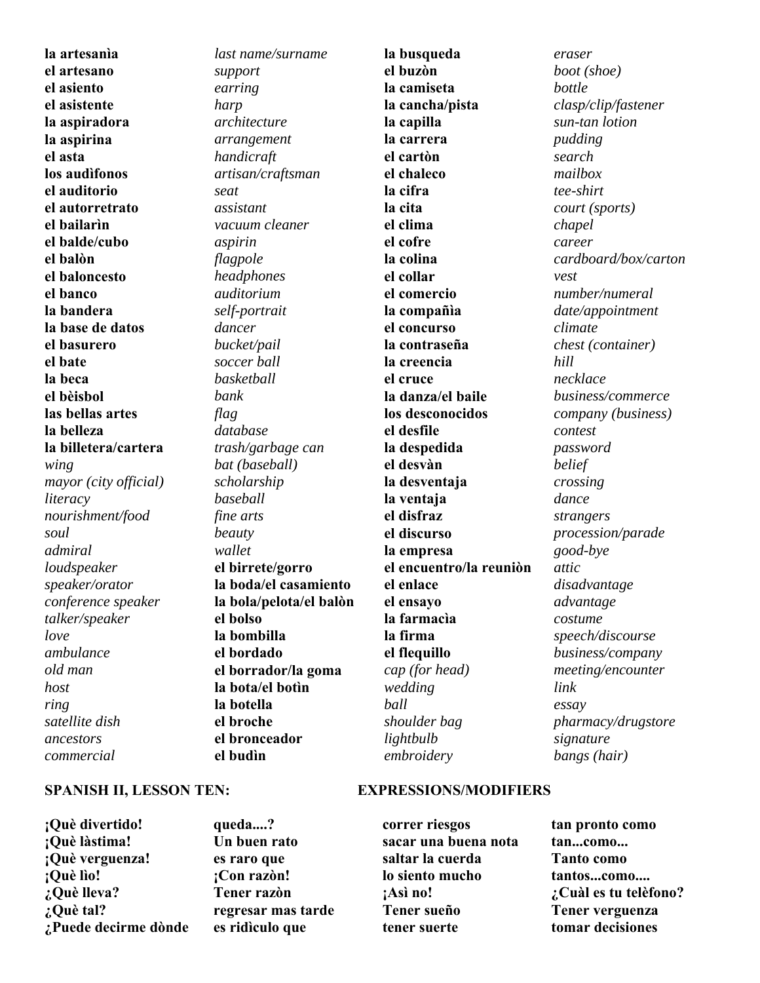**la artesanìa el artesano el asiento el asistente la aspiradora la aspirina el asta los audìfonos el auditorio el autorretrato el bailarìn el balde/cubo el balòn el baloncesto el banco la bandera la base de datos el basurero el bate la beca el bèisbol las bellas artes la belleza la billetera/cartera** *wing mayor (city official) literacy nourishment/food soul admiral loudspeaker speaker/orator conference speaker talker/speaker love ambulance old man host ring satellite dish ancestors commercial* 

### *last name/surname support earring harp architecture arrangement handicraft artisan/craftsman seat assistant vacuum cleaner aspirin flagpole headphones auditorium self-portrait dancer bucket/pail soccer ball basketball bank flag database trash/garbage can bat (baseball) scholarship baseball fine arts beauty wallet* **el birrete/gorro la boda/el casamiento la bola/pelota/el balòn el bolso la bombilla el bordado el borrador/la goma la bota/el botìn la botella el broche el bronceador**

**la busqueda el buzòn la camiseta la cancha/pista la capilla la carrera el cartòn el chaleco la cifra la cita el clima el cofre la colina el collar el comercio la compañìa el concurso la contraseña la creencia el cruce la danza/el baile los desconocidos el desfile la despedida el desvàn la desventaja la ventaja el disfraz el discurso la empresa el encuentro/la reuniòn el enlace el ensayo la farmacìa la firma el flequillo** *cap (for head) wedding ball shoulder bag lightbulb embroidery* 

*eraser boot (shoe) bottle clasp/clip/fastener sun-tan lotion pudding search mailbox tee-shirt court (sports) chapel career cardboard/box/carton vest number/numeral date/appointment climate chest (container) hill necklace business/commerce company (business) contest password belief crossing dance strangers procession/parade good-bye attic disadvantage advantage costume speech/discourse business/company meeting/encounter link essay pharmacy/drugstore signature bangs (hair)*

#### **SPANISH II, LESSON TEN: EXPRESSIONS/MODIFIERS**

**correr riesgos sacar una buena nota saltar la cuerda lo siento mucho ¡Asì no! Tener sueño tener suerte** 

**tan pronto como tan...como... Tanto como tantos...como.... ¿Cuàl es tu telèfono? Tener verguenza tomar decisiones** 

**¡Què divertido! ¡Què làstima! ¡Què verguenza! ¡Què lìo! ¿Què lleva? ¿Què tal? ¿Puede decirme dònde**  **queda....? Un buen rato es raro que ¡Con razòn! Tener razòn regresar mas tarde es ridìculo que** 

**el budìn**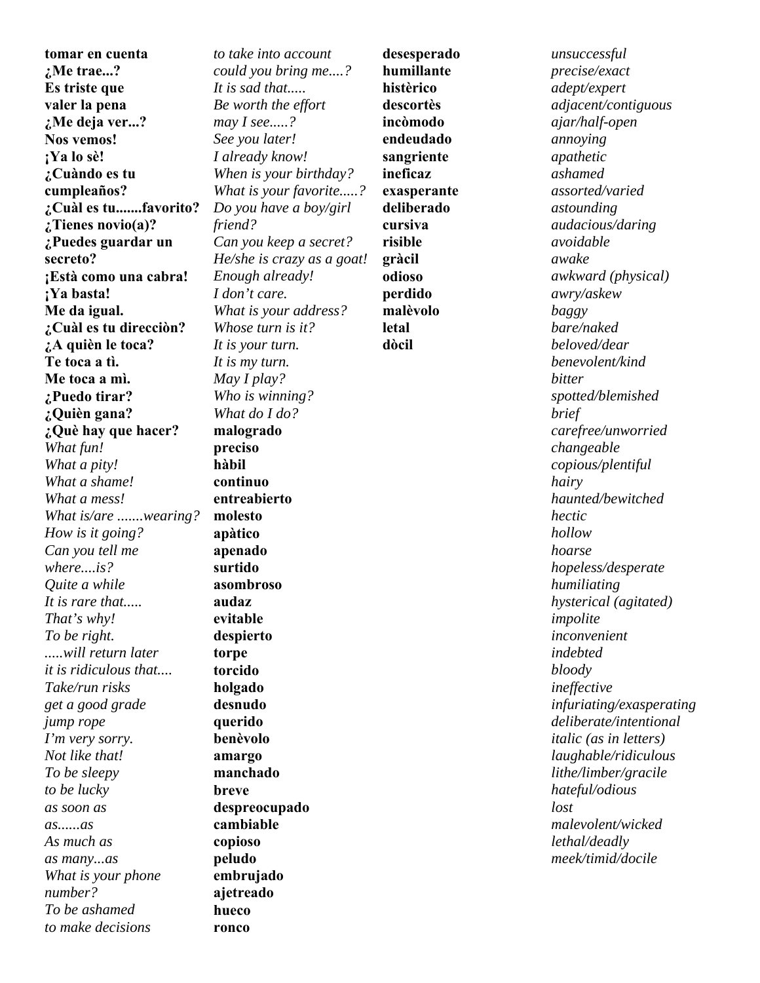**tomar en cuenta ¿Me trae...? Es triste que valer la pena ¿Me deja ver...? Nos vemos! ¡Ya lo sè! ¿Cuàndo es tu cumpleaños? ¿Cuàl es tu.......favorito? ¿Tienes novio(a)? ¿Puedes guardar un secreto? ¡Està como una cabra! ¡Ya basta! Me da igual. ¿Cuàl es tu direcciòn? ¿A quièn le toca? Te toca a tì. Me toca a mì. ¿Puedo tirar? ¿Quièn gana? ¿Què hay que hacer?**  *What fun! What a pity! What a shame! What a mess! What is/are .......wearing? How is it going? Can you tell me where....is? Quite a while It is rare that..... That's why! To be right. .....will return later it is ridiculous that.... Take/run risks get a good grade jump rope I'm very sorry. Not like that! To be sleepy to be lucky as soon as as......as As much as as many...as What is your phone number? To be ashamed to make decisions* 

*to take into account could you bring me....? It is sad that..... Be worth the effort may I see.....? See you later! I already know! When is your birthday? What is your favorite.....? Do you have a boy/girl friend? Can you keep a secret? He/she is crazy as a goat! Enough already! I don't care. What is your address? Whose turn is it? It is your turn. It is my turn. May I play? Who is winning? What do I do?* **malogrado preciso hàbil continuo entreabierto molesto apàtico apenado surtido asombroso audaz evitable despierto torpe torcido holgado desnudo querido benèvolo amargo manchado breve despreocupado cambiable copioso peludo embrujado ajetreado hueco** 

**ronco** 

**desesperado humillante histèrico descortès incòmodo endeudado sangriente ineficaz exasperante deliberado cursiva risible gràcil odioso perdido malèvolo letal dòcil**

*unsuccessful precise/exact adept/expert adjacent/contiguous ajar/half-open annoying apathetic ashamed assorted/varied astounding audacious/daring avoidable awake awkward (physical) awry/askew baggy bare/naked beloved/dear benevolent/kind bitter spotted/blemished brief carefree/unworried changeable copious/plentiful hairy haunted/bewitched hectic hollow hoarse hopeless/desperate humiliating hysterical (agitated) impolite inconvenient indebted bloody ineffective infuriating/exasperating deliberate/intentional italic (as in letters) laughable/ridiculous lithe/limber/gracile hateful/odious lost malevolent/wicked lethal/deadly meek/timid/docile*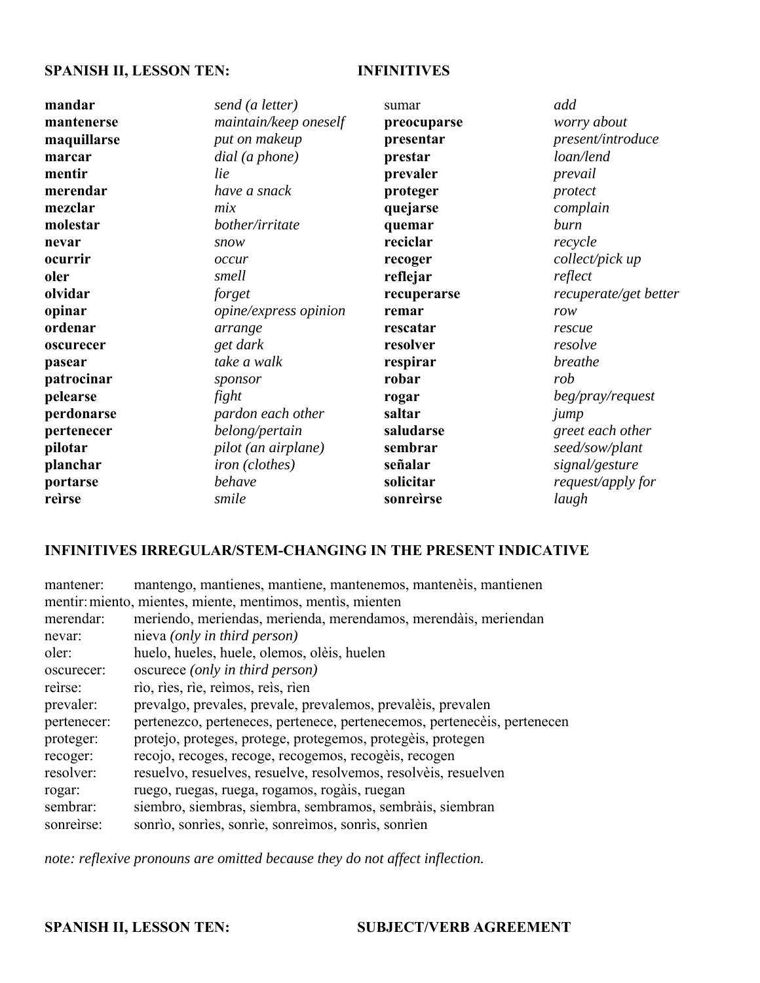## **SPANISH II, LESSON TEN: INFINITIVES**

| mandar      | send (a letter)                | sumar       | add                   |
|-------------|--------------------------------|-------------|-----------------------|
| mantenerse  | maintain/keep oneself          | preocuparse | worry about           |
| maquillarse | put on makeup                  | presentar   | present/introduce     |
| marcar      | $dial$ (a phone)               | prestar     | loan/lend             |
| mentir      | lie                            | prevaler    | prevail               |
| merendar    | have a snack                   | proteger    | protect               |
| mezclar     | mix                            | quejarse    | complain              |
| molestar    | bother/irritate                | quemar      | burn                  |
| nevar       | snow                           | reciclar    | recycle               |
| ocurrir     | occur                          | recoger     | collect/pick up       |
| oler        | smell                          | reflejar    | reflect               |
| olvidar     | forget                         | recuperarse | recuperate/get better |
| opinar      | opine/express opinion          | remar       | row                   |
| ordenar     | arrange                        | rescatar    | rescue                |
| oscurecer   | get dark                       | resolver    | resolve               |
| pasear      | take a walk                    | respirar    | breathe               |
| patrocinar  | sponsor                        | robar       | rob                   |
| pelearse    | fight                          | rogar       | beg/pray/request      |
| perdonarse  | pardon each other              | saltar      | jump                  |
| pertenecer  | belong/pertain                 | saludarse   | greet each other      |
| pilotar     | pilot (an airplane)            | sembrar     | seed/sow/plant        |
| planchar    | <i>iron</i> ( <i>clothes</i> ) | señalar     | signal/gesture        |
| portarse    | behave                         | solicitar   | request/apply for     |
| reìrse      | smile                          | sonreirse   | laugh                 |
|             |                                |             |                       |

## **INFINITIVES IRREGULAR/STEM-CHANGING IN THE PRESENT INDICATIVE**

| mantener:                                                  | mantengo, mantienes, mantiene, mantenemos, mantenèis, mantienen          |  |  |
|------------------------------------------------------------|--------------------------------------------------------------------------|--|--|
| mentir: miento, mientes, miente, mentimos, mentis, mienten |                                                                          |  |  |
| merendar:                                                  | meriendo, meriendas, merienda, merendamos, merendàis, meriendan          |  |  |
| nevar:                                                     | nieva ( <i>only in third person</i> )                                    |  |  |
| oler:                                                      | huelo, hueles, huele, olemos, olèis, huelen                              |  |  |
| oscurecer:                                                 | oscurece (only in third person)                                          |  |  |
| reirse:                                                    | rio, ries, rie, reimos, reis, rien                                       |  |  |
| prevaler:                                                  | prevalgo, prevales, prevale, prevalemos, prevalèis, prevalen             |  |  |
| pertenecer:                                                | pertenezco, perteneces, pertenece, pertenecemos, pertenecèis, pertenecen |  |  |
| proteger:                                                  | protejo, proteges, protege, protegemos, protegèis, protegen              |  |  |
| recoger:                                                   | recojo, recoges, recoge, recogemos, recogèis, recogen                    |  |  |
| resolver:                                                  | resuelvo, resuelves, resuelve, resolvemos, resolvèis, resuelven          |  |  |
| rogar:                                                     | ruego, ruegas, ruega, rogamos, rogàis, ruegan                            |  |  |
| sembrar:                                                   | siembro, siembras, siembra, sembramos, sembràis, siembran                |  |  |
| sonreirse:                                                 | sonrìo, sonrìes, sonrìe, sonreìmos, sonrìs, sonrìen                      |  |  |

*note: reflexive pronouns are omitted because they do not affect inflection.*

## SPANISH II, LESSON TEN: SUBJECT/VERB AGREEMENT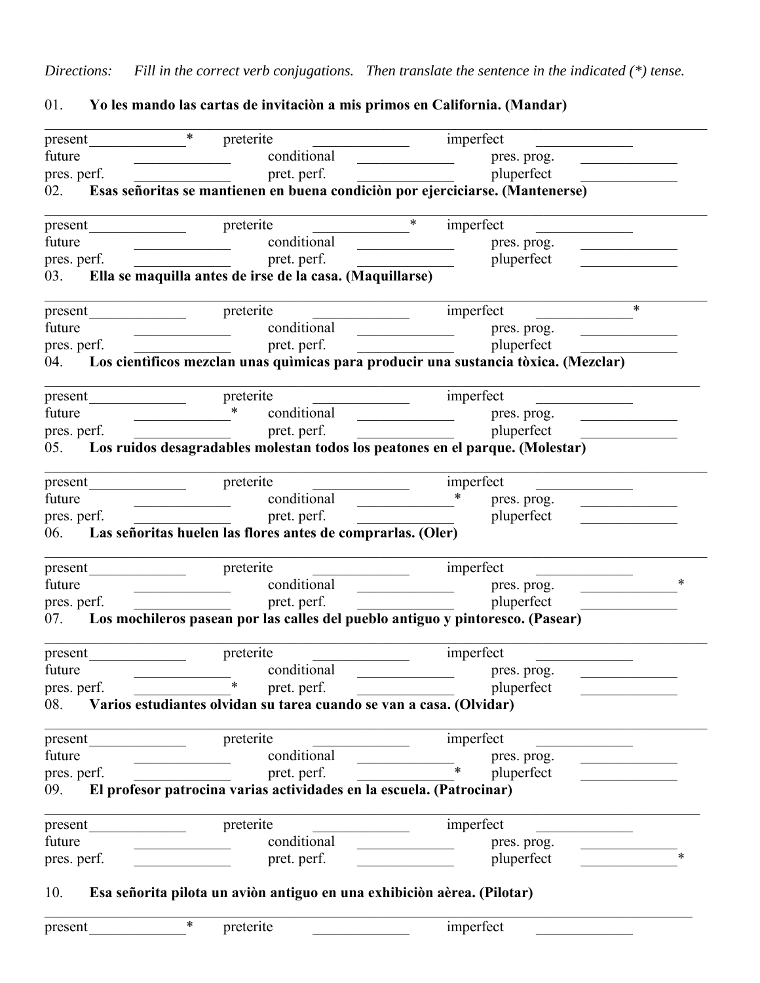*Directions: Fill in the correct verb conjugations. Then translate the sentence in the indicated (\*) tense.*

01. **Yo les mando las cartas de invitaciòn a mis primos en California. (Mandar)**

| present                    | $\ast$<br>preterite                                                                                                                                                                                                                                                                                                                                                                                                                                                                                           | imperfect                                                        |        |
|----------------------------|---------------------------------------------------------------------------------------------------------------------------------------------------------------------------------------------------------------------------------------------------------------------------------------------------------------------------------------------------------------------------------------------------------------------------------------------------------------------------------------------------------------|------------------------------------------------------------------|--------|
| future                     | conditional                                                                                                                                                                                                                                                                                                                                                                                                                                                                                                   | pres. prog.                                                      |        |
| pres. perf.<br>pret. perf. |                                                                                                                                                                                                                                                                                                                                                                                                                                                                                                               | pluperfect                                                       |        |
|                            | 02. Esas señoritas se mantienen en buena condición por ejerciciarse. (Mantenerse)                                                                                                                                                                                                                                                                                                                                                                                                                             |                                                                  |        |
| present                    | preterite                                                                                                                                                                                                                                                                                                                                                                                                                                                                                                     | $\ast$<br>imperfect                                              |        |
| future                     | conditional                                                                                                                                                                                                                                                                                                                                                                                                                                                                                                   | pres. prog.                                                      |        |
| pres. perf.                | pret. perf.                                                                                                                                                                                                                                                                                                                                                                                                                                                                                                   | pluperfect                                                       |        |
| 03.                        | Ella se maquilla antes de irse de la casa. (Maquillarse)                                                                                                                                                                                                                                                                                                                                                                                                                                                      |                                                                  |        |
|                            | preterite                                                                                                                                                                                                                                                                                                                                                                                                                                                                                                     | imperfect                                                        | $\ast$ |
| future                     | conditional                                                                                                                                                                                                                                                                                                                                                                                                                                                                                                   | pres. prog.<br><u> 1990 - Johann Barbara, martin a</u>           |        |
| pres. perf.                | pret. perf.                                                                                                                                                                                                                                                                                                                                                                                                                                                                                                   | pluperfect                                                       |        |
|                            | 04. Los cientificos mezclan unas quimicas para producir una sustancia tòxica. (Mezclar)                                                                                                                                                                                                                                                                                                                                                                                                                       |                                                                  |        |
| present                    | preterite                                                                                                                                                                                                                                                                                                                                                                                                                                                                                                     | imperfect                                                        |        |
| future                     | $\ast$<br>conditional                                                                                                                                                                                                                                                                                                                                                                                                                                                                                         | pres. prog.                                                      |        |
| pres. perf.                | pret. perf.                                                                                                                                                                                                                                                                                                                                                                                                                                                                                                   | pluperfect                                                       |        |
| 05.                        | Los ruidos desagradables molestan todos los peatones en el parque. (Molestar)                                                                                                                                                                                                                                                                                                                                                                                                                                 |                                                                  |        |
|                            | preterite                                                                                                                                                                                                                                                                                                                                                                                                                                                                                                     | imperfect                                                        |        |
| future                     | conditional                                                                                                                                                                                                                                                                                                                                                                                                                                                                                                   | $\ast$<br>pres. prog.                                            |        |
| pres. perf.                | pret. perf.                                                                                                                                                                                                                                                                                                                                                                                                                                                                                                   | pluperfect                                                       |        |
|                            | 06. Las señoritas huelen las flores antes de comprarlas. (Oler)                                                                                                                                                                                                                                                                                                                                                                                                                                               |                                                                  |        |
| present                    | preterite                                                                                                                                                                                                                                                                                                                                                                                                                                                                                                     | imperfect                                                        |        |
| future                     | conditional<br>$\overline{\phantom{a}}$                                                                                                                                                                                                                                                                                                                                                                                                                                                                       | pres. prog.<br><u> 1980 - Johann Barnett, fransk politiker (</u> | $\ast$ |
| pres. perf.                | pret. perf.<br>$\begin{tabular}{ll} \multicolumn{2}{c} {\textbf{1}} & \multicolumn{2}{c} {\textbf{2}} & \multicolumn{2}{c} {\textbf{3}} & \multicolumn{2}{c} {\textbf{4}} \\ \multicolumn{2}{c} {\textbf{1}} & \multicolumn{2}{c} {\textbf{2}} & \multicolumn{2}{c} {\textbf{3}} & \multicolumn{2}{c} {\textbf{4}} & \multicolumn{2}{c} {\textbf{5}} \\ \multicolumn{2}{c} {\textbf{1}} & \multicolumn{2}{c} {\textbf{2}} & \multicolumn{2}{c} {\textbf{3}} & \multicolumn{2}{c} {\textbf{4}} & \multicolumn$ | pluperfect                                                       |        |
| 07.                        | Los mochileros pasean por las calles del pueblo antiguo y pintoresco. (Pasear)                                                                                                                                                                                                                                                                                                                                                                                                                                |                                                                  |        |
| present                    | preterite                                                                                                                                                                                                                                                                                                                                                                                                                                                                                                     | imperfect                                                        |        |
| future                     | conditional                                                                                                                                                                                                                                                                                                                                                                                                                                                                                                   | pres. prog.                                                      |        |
| pres. perf.                | $\star$<br>pret. perf.                                                                                                                                                                                                                                                                                                                                                                                                                                                                                        | pluperfect                                                       |        |
| 08.                        | Varios estudiantes olvidan su tarea cuando se van a casa. (Olvidar)                                                                                                                                                                                                                                                                                                                                                                                                                                           |                                                                  |        |
| present                    | preterite                                                                                                                                                                                                                                                                                                                                                                                                                                                                                                     | imperfect                                                        |        |
| future                     | conditional                                                                                                                                                                                                                                                                                                                                                                                                                                                                                                   | pres. prog.                                                      |        |
| pres. perf.                | pret. perf.                                                                                                                                                                                                                                                                                                                                                                                                                                                                                                   | $\ast$<br>pluperfect                                             |        |
| 09.                        | El profesor patrocina varias actividades en la escuela. (Patrocinar)                                                                                                                                                                                                                                                                                                                                                                                                                                          |                                                                  |        |
| present                    | preterite                                                                                                                                                                                                                                                                                                                                                                                                                                                                                                     | imperfect                                                        |        |
| future                     | conditional                                                                                                                                                                                                                                                                                                                                                                                                                                                                                                   | pres. prog.                                                      |        |
| pres. perf.                | pret. perf.                                                                                                                                                                                                                                                                                                                                                                                                                                                                                                   | pluperfect                                                       | $\ast$ |
| 10.                        | Esa señorita pilota un aviòn antiguo en una exhibiciòn aèrea. (Pilotar)                                                                                                                                                                                                                                                                                                                                                                                                                                       |                                                                  |        |
| present                    | ∗<br>preterite                                                                                                                                                                                                                                                                                                                                                                                                                                                                                                | imperfect                                                        |        |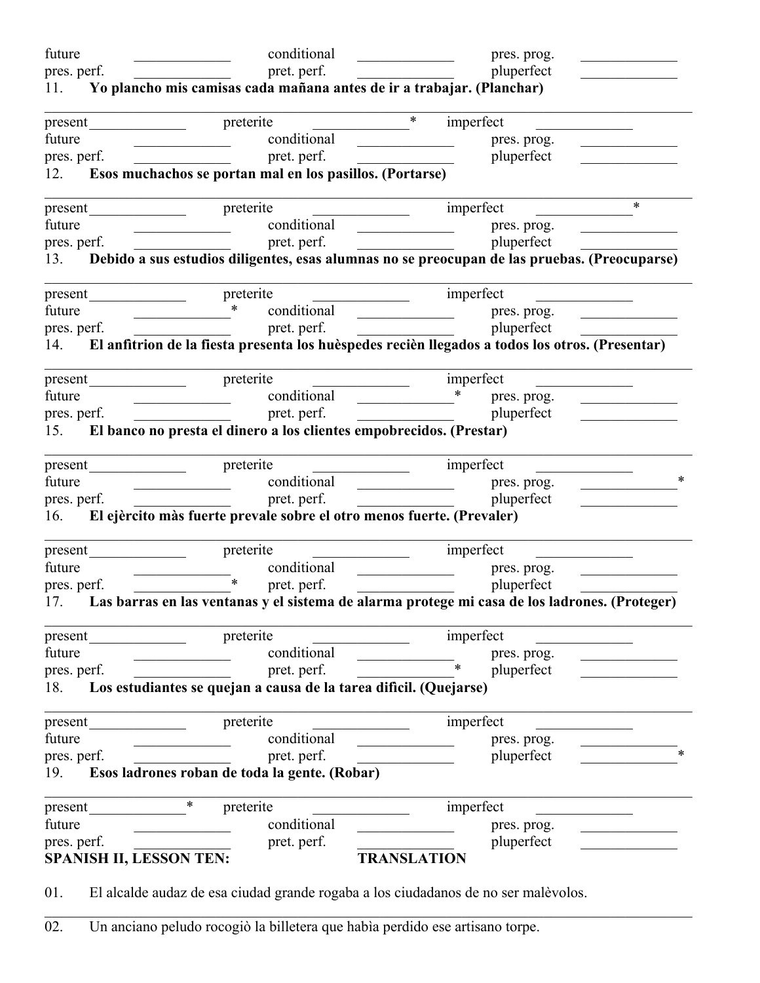| future                                                                    | conditional                                                                                                                                                                                                                                                                                                                                                        | pres. prog.<br><u> 1990 - Johann Barbara, martxa</u>                                                                                                                                                                                                                                                                                                                            |
|---------------------------------------------------------------------------|--------------------------------------------------------------------------------------------------------------------------------------------------------------------------------------------------------------------------------------------------------------------------------------------------------------------------------------------------------------------|---------------------------------------------------------------------------------------------------------------------------------------------------------------------------------------------------------------------------------------------------------------------------------------------------------------------------------------------------------------------------------|
| pres. perf.                                                               | pret. perf.                                                                                                                                                                                                                                                                                                                                                        | pluperfect                                                                                                                                                                                                                                                                                                                                                                      |
| 11. Yo plancho mis camisas cada mañana antes de ir a trabajar. (Planchar) |                                                                                                                                                                                                                                                                                                                                                                    |                                                                                                                                                                                                                                                                                                                                                                                 |
|                                                                           | present preterite                                                                                                                                                                                                                                                                                                                                                  | $\ast$<br>imperfect                                                                                                                                                                                                                                                                                                                                                             |
| future                                                                    | conditional                                                                                                                                                                                                                                                                                                                                                        | pres. prog.<br>$\overline{\phantom{a}}$<br>the company of the company of the                                                                                                                                                                                                                                                                                                    |
| pres. perf.                                                               | pret. perf.                                                                                                                                                                                                                                                                                                                                                        | pluperfect                                                                                                                                                                                                                                                                                                                                                                      |
| 12.                                                                       | Esos muchachos se portan mal en los pasillos. (Portarse)                                                                                                                                                                                                                                                                                                           |                                                                                                                                                                                                                                                                                                                                                                                 |
|                                                                           |                                                                                                                                                                                                                                                                                                                                                                    | $\ast$                                                                                                                                                                                                                                                                                                                                                                          |
| future                                                                    | conditional                                                                                                                                                                                                                                                                                                                                                        | pres. prog.<br><u> 1989 - Johann Harry Harry Hermer (</u>                                                                                                                                                                                                                                                                                                                       |
| pres. perf.                                                               | pret. perf.<br><u> 1990 - Jan James James Barnett, amerikansk politiker (</u>                                                                                                                                                                                                                                                                                      | pluperfect<br><u> 1980 - Jan Stein Stein Stein Stein Stein Stein Stein Stein Stein Stein Stein Stein Stein Stein Stein Stein S</u>                                                                                                                                                                                                                                              |
|                                                                           |                                                                                                                                                                                                                                                                                                                                                                    | 13. Debido a sus estudios diligentes, esas alumnas no se preocupan de las pruebas. (Preocuparse)                                                                                                                                                                                                                                                                                |
| present                                                                   | preterite                                                                                                                                                                                                                                                                                                                                                          | imperfect                                                                                                                                                                                                                                                                                                                                                                       |
| future                                                                    | $\begin{picture}(20,20) \put(0,0){\line(1,0){10}} \put(15,0){\line(1,0){10}} \put(15,0){\line(1,0){10}} \put(15,0){\line(1,0){10}} \put(15,0){\line(1,0){10}} \put(15,0){\line(1,0){10}} \put(15,0){\line(1,0){10}} \put(15,0){\line(1,0){10}} \put(15,0){\line(1,0){10}} \put(15,0){\line(1,0){10}} \put(15,0){\line(1,0){10}} \put(15,0){\line(1$<br>conditional | pres. prog.<br><u> 1989 - Johann Barbara, politik eta politik eta politik eta politik eta politik eta politik eta politik eta p</u> oli<br><u>and the company of the company of the company of the company of the company of the company of the company of the company of the company of the company of the company of the company of the company of the company of the com</u> |
| pres. perf.                                                               | pret. perf.                                                                                                                                                                                                                                                                                                                                                        | pluperfect                                                                                                                                                                                                                                                                                                                                                                      |
| 14.                                                                       |                                                                                                                                                                                                                                                                                                                                                                    | El anfitrion de la fiesta presenta los huèspedes recièn llegados a todos los otros. (Presentar)                                                                                                                                                                                                                                                                                 |
|                                                                           |                                                                                                                                                                                                                                                                                                                                                                    | imperfect                                                                                                                                                                                                                                                                                                                                                                       |
| future                                                                    |                                                                                                                                                                                                                                                                                                                                                                    | $\ast$<br>pres. prog.<br>the control of the control of the                                                                                                                                                                                                                                                                                                                      |
| pres. perf.                                                               | pret. perf.                                                                                                                                                                                                                                                                                                                                                        | pluperfect<br><u> 1980 - Johann Barbara, martin a</u>                                                                                                                                                                                                                                                                                                                           |
|                                                                           | 15. El banco no presta el dinero a los clientes empobrecidos. (Prestar)                                                                                                                                                                                                                                                                                            |                                                                                                                                                                                                                                                                                                                                                                                 |
|                                                                           |                                                                                                                                                                                                                                                                                                                                                                    | imperfect                                                                                                                                                                                                                                                                                                                                                                       |
| future                                                                    | conditional                                                                                                                                                                                                                                                                                                                                                        | ∗<br>pres. prog.                                                                                                                                                                                                                                                                                                                                                                |
| pres. perf.                                                               | pret. perf.                                                                                                                                                                                                                                                                                                                                                        | pluperfect                                                                                                                                                                                                                                                                                                                                                                      |
| 16.                                                                       | El ejèrcito màs fuerte prevale sobre el otro menos fuerte. (Prevaler)                                                                                                                                                                                                                                                                                              |                                                                                                                                                                                                                                                                                                                                                                                 |
| present                                                                   | preterite                                                                                                                                                                                                                                                                                                                                                          | imperfect                                                                                                                                                                                                                                                                                                                                                                       |
| future                                                                    | conditional                                                                                                                                                                                                                                                                                                                                                        | pres. prog.                                                                                                                                                                                                                                                                                                                                                                     |
| pres. perf.                                                               | $\ast$<br>pret. perf.                                                                                                                                                                                                                                                                                                                                              | pluperfect                                                                                                                                                                                                                                                                                                                                                                      |
|                                                                           |                                                                                                                                                                                                                                                                                                                                                                    | 17. Las barras en las ventanas y el sistema de alarma protege mi casa de los ladrones. (Proteger)                                                                                                                                                                                                                                                                               |
| present                                                                   | preterite                                                                                                                                                                                                                                                                                                                                                          | imperfect                                                                                                                                                                                                                                                                                                                                                                       |
| future                                                                    | conditional                                                                                                                                                                                                                                                                                                                                                        | pres. prog.                                                                                                                                                                                                                                                                                                                                                                     |
| pres. perf.                                                               | pret. perf.                                                                                                                                                                                                                                                                                                                                                        | $\ast$<br>pluperfect                                                                                                                                                                                                                                                                                                                                                            |
| 18.                                                                       | Los estudiantes se quejan a causa de la tarea dificil. (Quejarse)                                                                                                                                                                                                                                                                                                  |                                                                                                                                                                                                                                                                                                                                                                                 |
| present                                                                   | preterite                                                                                                                                                                                                                                                                                                                                                          | imperfect                                                                                                                                                                                                                                                                                                                                                                       |
| future                                                                    | conditional                                                                                                                                                                                                                                                                                                                                                        | pres. prog.                                                                                                                                                                                                                                                                                                                                                                     |
| pres. perf.                                                               | pret. perf.                                                                                                                                                                                                                                                                                                                                                        | pluperfect                                                                                                                                                                                                                                                                                                                                                                      |
| 19.                                                                       | Esos ladrones roban de toda la gente. (Robar)                                                                                                                                                                                                                                                                                                                      |                                                                                                                                                                                                                                                                                                                                                                                 |
| present                                                                   | $\ast$<br>preterite                                                                                                                                                                                                                                                                                                                                                | imperfect                                                                                                                                                                                                                                                                                                                                                                       |
| future                                                                    | conditional                                                                                                                                                                                                                                                                                                                                                        | pres. prog.                                                                                                                                                                                                                                                                                                                                                                     |
| pres. perf.                                                               | pret. perf.                                                                                                                                                                                                                                                                                                                                                        | pluperfect                                                                                                                                                                                                                                                                                                                                                                      |
| <b>SPANISH II, LESSON TEN:</b>                                            |                                                                                                                                                                                                                                                                                                                                                                    | <b>TRANSLATION</b>                                                                                                                                                                                                                                                                                                                                                              |
|                                                                           |                                                                                                                                                                                                                                                                                                                                                                    |                                                                                                                                                                                                                                                                                                                                                                                 |

01. El alcalde audaz de esa ciudad grande rogaba a los ciudadanos de no ser malèvolos.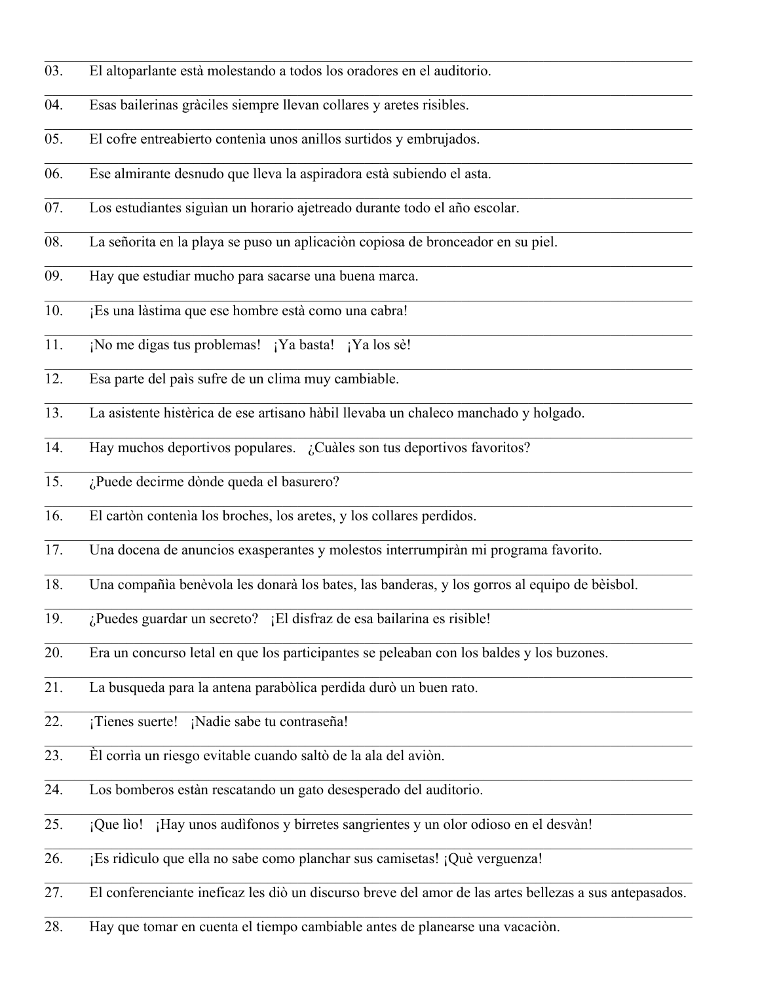- 03. El altoparlante està molestando a todos los oradores en el auditorio.
- 04. Esas bailerinas gràciles siempre llevan collares y aretes risibles.
- 05. El cofre entreabierto contenìa unos anillos surtidos y embrujados.
- 06. Ese almirante desnudo que lleva la aspiradora està subiendo el asta.
- 07. Los estudiantes siguìan un horario ajetreado durante todo el año escolar.
- 08. La señorita en la playa se puso un aplicaciòn copiosa de bronceador en su piel.
- 09. Hay que estudiar mucho para sacarse una buena marca.
- 10. ¡Es una làstima que ese hombre està como una cabra!
- 11. ¡No me digas tus problemas! ¡Ya basta! ¡Ya los sè!
- 12. Esa parte del paìs sufre de un clima muy cambiable.
- 13. La asistente histèrica de ese artisano hàbil llevaba un chaleco manchado y holgado.
- 14. Hay muchos deportivos populares. ¿Cuàles son tus deportivos favoritos?
- 15. ¿Puede decirme dònde queda el basurero?
- 16. El cartòn contenìa los broches, los aretes, y los collares perdidos.
- 17. Una docena de anuncios exasperantes y molestos interrumpiràn mi programa favorito.
- 18. Una compañìa benèvola les donarà los bates, las banderas, y los gorros al equipo de bèisbol.

 $\_$  , and the set of the set of the set of the set of the set of the set of the set of the set of the set of the set of the set of the set of the set of the set of the set of the set of the set of the set of the set of th

- 19. ¿Puedes guardar un secreto? ¡El disfraz de esa bailarina es risible!
- 20. Era un concurso letal en que los participantes se peleaban con los baldes y los buzones.
- 21. La busqueda para la antena parabòlica perdida durò un buen rato.
- 22. ¡Tienes suerte! ¡Nadie sabe tu contraseña!
- 23. Èl corrìa un riesgo evitable cuando saltò de la ala del aviòn.
- 24. Los bomberos estàn rescatando un gato desesperado del auditorio.
- 25. ¡Que lìo! ¡Hay unos audìfonos y birretes sangrientes y un olor odioso en el desvàn!
- 26. ¡Es ridìculo que ella no sabe como planchar sus camisetas! ¡Què verguenza!
- 27. El conferenciante ineficaz les diò un discurso breve del amor de las artes bellezas a sus antepasados.

 $\_$  , and the set of the set of the set of the set of the set of the set of the set of the set of the set of the set of the set of the set of the set of the set of the set of the set of the set of the set of the set of th

28. Hay que tomar en cuenta el tiempo cambiable antes de planearse una vacaciòn.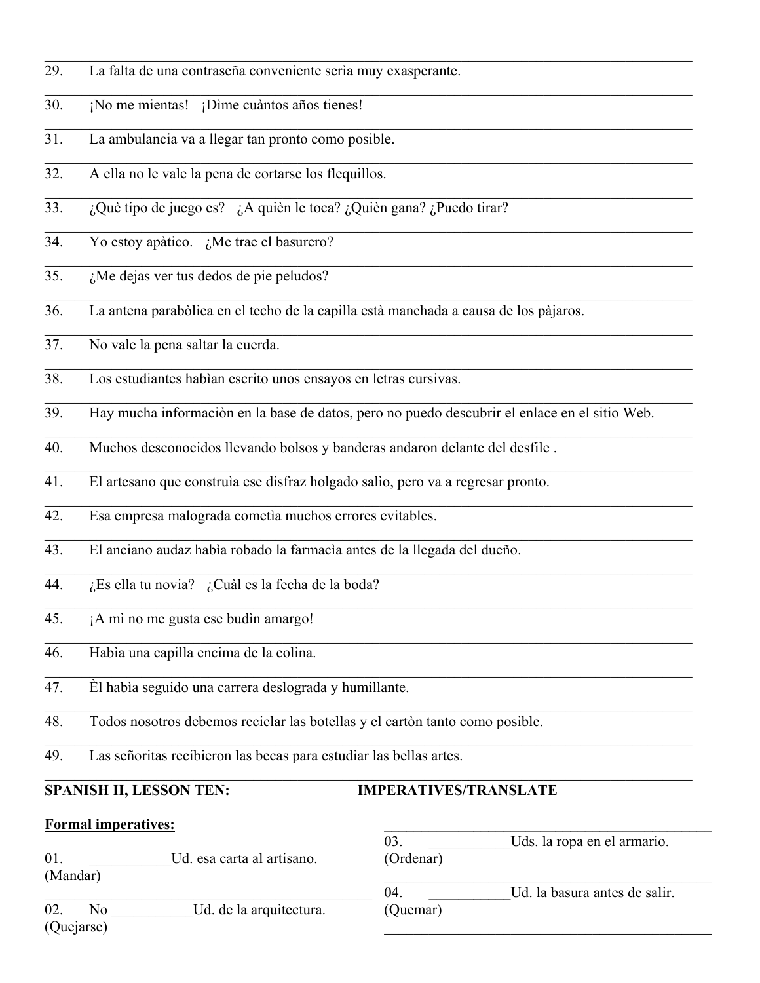- 29. La falta de una contraseña conveniente serìa muy exasperante.
- 30. ¡No me mientas! ¡Dìme cuàntos años tienes!
- 31. La ambulancia va a llegar tan pronto como posible.
- 32. A ella no le vale la pena de cortarse los flequillos.
- 33. ¿Què tipo de juego es? ¿A quièn le toca? ¿Quièn gana? ¿Puedo tirar?
- 34. Yo estoy apàtico. ¿Me trae el basurero?
- 35.  $\lambda$  *i*. Me dejas ver tus dedos de pie peludos?
- 36. La antena parabòlica en el techo de la capilla està manchada a causa de los pàjaros.
- 37. No vale la pena saltar la cuerda.
- 38. Los estudiantes habìan escrito unos ensayos en letras cursivas.
- 39. Hay mucha informaciòn en la base de datos, pero no puedo descubrir el enlace en el sitio Web.

 $\_$  , and the set of the set of the set of the set of the set of the set of the set of the set of the set of the set of the set of the set of the set of the set of the set of the set of the set of the set of the set of th

 $\_$  , and the set of the set of the set of the set of the set of the set of the set of the set of the set of the set of the set of the set of the set of the set of the set of the set of the set of the set of the set of th

- 40. Muchos desconocidos llevando bolsos y banderas andaron delante del desfile .
- 41. El artesano que construìa ese disfraz holgado salìo, pero va a regresar pronto.
- 42. Esa empresa malograda cometìa muchos errores evitables.
- 43. El anciano audaz habìa robado la farmacìa antes de la llegada del dueño.
- 44.  $i$ Es ella tu novia?  $i$ Cuàl es la fecha de la boda?
- 45. ¡A mì no me gusta ese budìn amargo!
- 46. Habìa una capilla encima de la colina.
- 47. Èl habìa seguido una carrera deslograda y humillante.
- 48. Todos nosotros debemos reciclar las botellas y el cartòn tanto como posible.
- 49. Las señoritas recibieron las becas para estudiar las bellas artes.

#### **SPANISH II, LESSON TEN: IMPERATIVES/TRANSLATE**

#### **Formal imperatives:**

01. Lesa carta al artisano. (Mandar)

02. No Ud. de la arquitectura. (Quejarse)

| -03.      | Uds. la ropa en el armario.   |  |
|-----------|-------------------------------|--|
| (Ordenar) |                               |  |
|           |                               |  |
| 04.       | Ud. la basura antes de salir. |  |
| (Quemar)  |                               |  |

 $\mathcal{L} = \{ \mathcal{L} \}$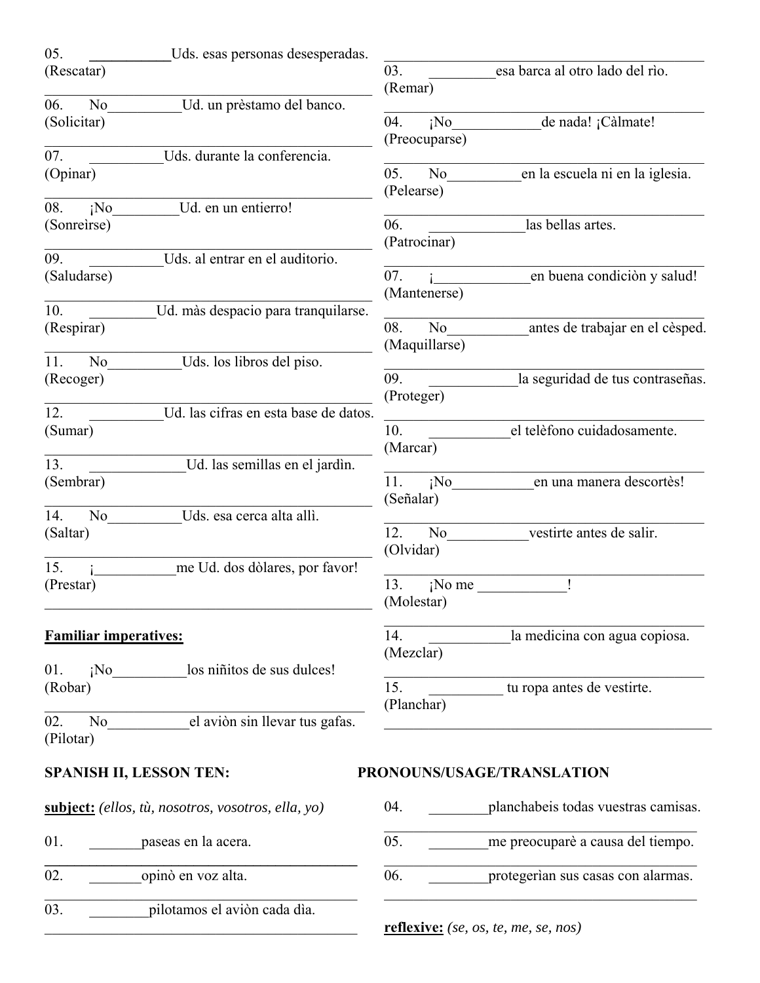| 05.<br>Uds. esas personas desesperadas.             |                                                                        |
|-----------------------------------------------------|------------------------------------------------------------------------|
| (Rescatar)                                          | 03.<br>esa barca al otro lado del rio.                                 |
|                                                     | (Remar)                                                                |
| 06.<br>Ud. un prèstamo del banco.<br>N <sub>o</sub> |                                                                        |
| (Solicitar)                                         | 04.<br>iNo<br>de nada! ¡Càlmate!<br>(Preocuparse)                      |
| 07.<br>Uds. durante la conferencia.                 |                                                                        |
| (Opinar)                                            | en la escuela ni en la iglesia.<br>05.<br>N <sub>o</sub><br>(Pelearse) |
| Ud. en un entierro!<br>08.<br>iNo                   |                                                                        |
| (Sonreirse)                                         | 06.<br>las bellas artes.                                               |
| 09.<br>Uds. al entrar en el auditorio.              | (Patrocinar)                                                           |
| (Saludarse)                                         | en buena condición y salud!<br>07.                                     |
|                                                     | (Mantenerse)                                                           |
| 10.<br>Ud. màs despacio para tranquilarse.          |                                                                        |
| (Respirar)                                          | 08.<br>N <sub>o</sub><br>antes de trabajar en el cèsped.               |
|                                                     | (Maquillarse)                                                          |
| 11.<br>N <sub>o</sub><br>Uds. los libros del piso.  |                                                                        |
| (Recoger)                                           | 09.<br>la seguridad de tus contraseñas.                                |
|                                                     | (Proteger)                                                             |
| 12.<br>Ud. las cifras en esta base de datos.        |                                                                        |
| (Sumar)                                             | 10.<br>el telèfono cuidadosamente.                                     |
| 13.<br>Ud. las semillas en el jardìn.               | (Marcar)                                                               |
| (Sembrar)                                           | $i$ No<br>en una manera descortès!<br>11.                              |
|                                                     | (Señalar)                                                              |
| 14.<br>Uds. esa cerca alta allì.<br>N <sub>o</sub>  |                                                                        |
| (Saltar)                                            | 12.<br>N <sub>o</sub><br>vestirte antes de salir.                      |
|                                                     | (Olvidar)                                                              |
| 15.<br>me Ud. dos dòlares, por favor!               |                                                                        |
| (Prestar)                                           | 13.<br>$i$ No me                                                       |
|                                                     | (Molestar)                                                             |
| <b>Familiar imperatives:</b>                        | 14.<br>la medicina con agua copiosa.                                   |
|                                                     | (Mezclar)                                                              |
| ¡No los niñitos de sus dulces!<br>01.               |                                                                        |
| (Robar)                                             | 15.<br>tu ropa antes de vestirte.                                      |
|                                                     | (Planchar)                                                             |
| el aviòn sin llevar tus gafas.<br>02.<br>No         |                                                                        |
| (Pilotar)                                           |                                                                        |
| <b>SPANISH II, LESSON TEN:</b>                      | PRONOUNS/USAGE/TRANSLATION                                             |
| subject: (ellos, tù, nosotros, vosotros, ella, yo)  | planchabeis todas vuestras camisas.<br>04.                             |
| 01.<br>paseas en la acera.                          | 05.<br>me preocuparè a causa del tiempo.                               |
| opinò en voz alta.<br>02.                           | 06.<br>protegerian sus casas con alarmas.                              |
| pilotamos el aviòn cada dìa.<br>03.                 |                                                                        |

**reflexive:** *(se, os, te, me, se, nos)*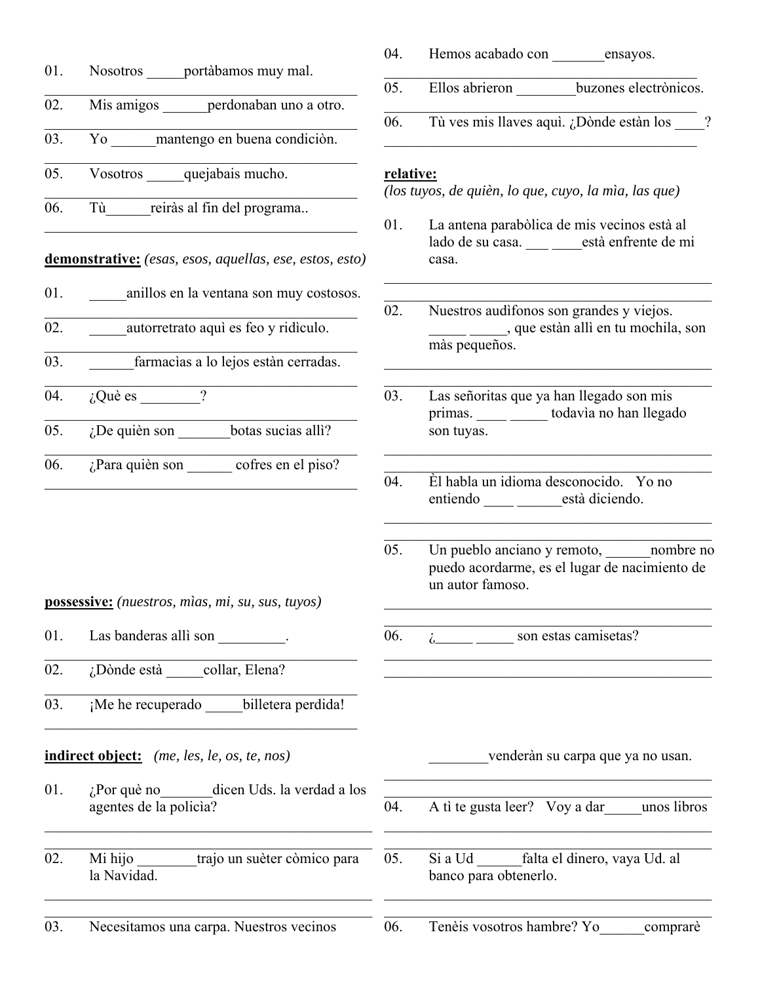|     |                                                                        | 04.       | Hemos acabado con ensayos.                                                                                 |
|-----|------------------------------------------------------------------------|-----------|------------------------------------------------------------------------------------------------------------|
| 01. | Nosotros portàbamos muy mal.                                           | 05.       | Ellos abrieron _______ buzones electrònicos.                                                               |
| 02. | Mis amigos ______ perdonaban uno a otro.                               | 06.       | Tù ves mis llaves aquì. ¿Dònde estàn los ____?                                                             |
| 03. | Yo mantengo en buena condición.                                        |           |                                                                                                            |
| 05. | Vosotros quejabais mucho.                                              | relative: | (los tuyos, de quièn, lo que, cuyo, la mìa, las que)                                                       |
| 06. | Tù reiràs al fin del programa                                          | 01.       | La antena parabòlica de mis vecinos està al                                                                |
|     | demonstrative: (esas, esos, aquellas, ese, estos, esto)                |           | lado de su casa. està enfrente de mi<br>casa.                                                              |
| 01. | anillos en la ventana son muy costosos.                                | 02.       | Nuestros audifonos son grandes y viejos.                                                                   |
| 02. | ______ autorretrato aquì es feo y ridiculo.                            |           | que estàn allì en tu mochila, son<br>màs pequeños.                                                         |
| 03. | farmacias a lo lejos están cerradas.                                   |           |                                                                                                            |
| 04. | $i$ Què es $\frac{1}{i}$                                               | 03.       | Las señoritas que ya han llegado son mis<br>primas. _____ _____ todavìa no han llegado                     |
| 05. | $i$ De quièn son botas sucias alli?                                    |           | son tuyas.                                                                                                 |
| 06. | ¿Para quièn son cofres en el piso?                                     | 04.       | Èl habla un idioma desconocido. Yo no                                                                      |
|     |                                                                        |           | entiendo _____ _____ està diciendo.                                                                        |
|     | possessive: (nuestros, mìas, mi, su, sus, tuyos)                       | 05.       | Un pueblo anciano y remoto, nombre no<br>puedo acordarme, es el lugar de nacimiento de<br>un autor famoso. |
| 01. | Las banderas allì son .                                                | 06.       | $i_{\dots}$ son estas camisetas?                                                                           |
| 02. | ¿Dònde està collar, Elena?                                             |           |                                                                                                            |
| 03. | ¡Me he recuperado billetera perdida!                                   |           |                                                                                                            |
|     | <b>indirect object:</b> (me, les, le, os, te, nos)                     |           | venderàn su carpa que ya no usan.                                                                          |
| 01. | $i$ Por què no<br>dicen Uds. la verdad a los<br>agentes de la policia? | 04.       | A tì te gusta leer? Voy a dar unos libros                                                                  |
| 02. | Mi hijo<br>trajo un suèter còmico para<br>la Navidad.                  | 05.       | falta el dinero, vaya Ud. al<br>Si a Ud<br>banco para obtenerlo.                                           |
| 03. | Necesitamos una carpa. Nuestros vecinos                                | 06.       | Tenèis vosotros hambre? Yo<br>comprare                                                                     |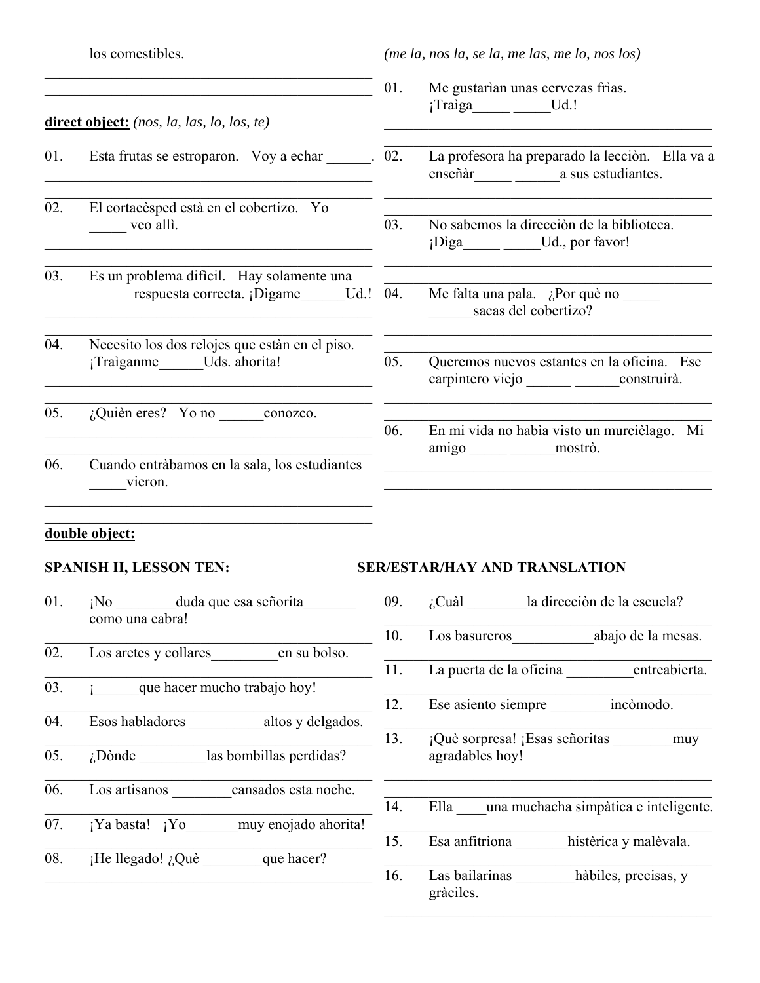los comestibles.

*(me la, nos la, se la, me las, me lo, nos los)*

- 01. Me gustarìan unas cervezas frìas. ;Traìga Ud.!
	- La profesora ha preparado la lecciòn. Ella va a enseñàr\_\_\_\_\_ \_\_\_\_\_\_a sus estudiantes.
	- 03. No sabemos la direcciòn de la biblioteca. ¡Dìga\_\_\_\_\_ \_\_\_\_\_Ud., por favor!
		- Me falta una pala. ¿Por què no sacas del cobertizo?
	- 05. Queremos nuevos estantes en la oficina. Ese carpintero viejo \_\_\_\_\_\_ \_\_\_\_\_\_construirà.
	- 06. En mi vida no habìa visto un murcièlago. Mi amigo mostrò.

# **direct object:** *(nos, la, las, lo, los, te)*

- 01. Esta frutas se estroparon. Voy a echar  $\qquad \qquad$  02.
- 02. El cortacèsped està en el cobertizo. Yo \_\_\_\_\_ veo allì.
- 03. Es un problema difìcil. Hay solamente una respuesta correcta. ¡Dìgame Ud.! 04.
- 04. Necesito los dos relojes que estàn en el piso. ¡Traìganme Uds. ahorita!
- $\overline{05.}$  *i*, Quièn eres? Yo no conozco.
- 06. Cuando entràbamos en la sala, los estudiantes \_\_\_\_\_vieron.

 $\mathcal{L}_\text{max}$  and  $\mathcal{L}_\text{max}$  and  $\mathcal{L}_\text{max}$  and  $\mathcal{L}_\text{max}$  and  $\mathcal{L}_\text{max}$ 

#### **double object:**

- 01. **i**No duda que esa señorita como una cabra!
- 02. Los aretes y collares en su bolso.
- 03. **• •** *que hacer mucho trabajo hoy!*
- 04. Esos habladores \_\_\_\_\_\_\_\_\_\_altos y delgados.
- 05.  $i$ Dònde las bombillas perdidas?
- $\mathcal{L}_\text{max}$  and  $\mathcal{L}_\text{max}$  and  $\mathcal{L}_\text{max}$  and  $\mathcal{L}_\text{max}$  and  $\mathcal{L}_\text{max}$ 06. Los artisanos cansados esta noche.
- 07. **¡Ya basta!** ¡Yo muy enojado ahorita!
- $\overline{08.}$  iHe llegado! ¿Què que hacer?

## SPANISH II, LESSON TEN: SER/ESTAR/HAY AND TRANSLATION

- 09.  $\iota$ : Cuàl la direcciòn de la escuela?
- 10. Los basureros abajo de la mesas.
- 11. La puerta de la oficina entreabierta.  $\mathcal{L}_\text{max}$  and  $\mathcal{L}_\text{max}$  and  $\mathcal{L}_\text{max}$  and  $\mathcal{L}_\text{max}$
- 12. Ese asiento siempre incòmodo.
- 13. **¡Què sorpresa!** ¡Esas señoritas muy agradables hoy!
- 14. Ella una muchacha simpàtica e inteligente.

 $\mathcal{L}_\text{max}$  and  $\mathcal{L}_\text{max}$  and  $\mathcal{L}_\text{max}$  and  $\mathcal{L}_\text{max}$ 

 $\mathcal{L}_\text{max}$  and  $\mathcal{L}_\text{max}$  and  $\mathcal{L}_\text{max}$  and  $\mathcal{L}_\text{max}$  and  $\mathcal{L}_\text{max}$ 

- 15. Esa anfitriona histèrica y malèvala.
- 16. Las bailarinas hàbiles, precisas, y gràciles.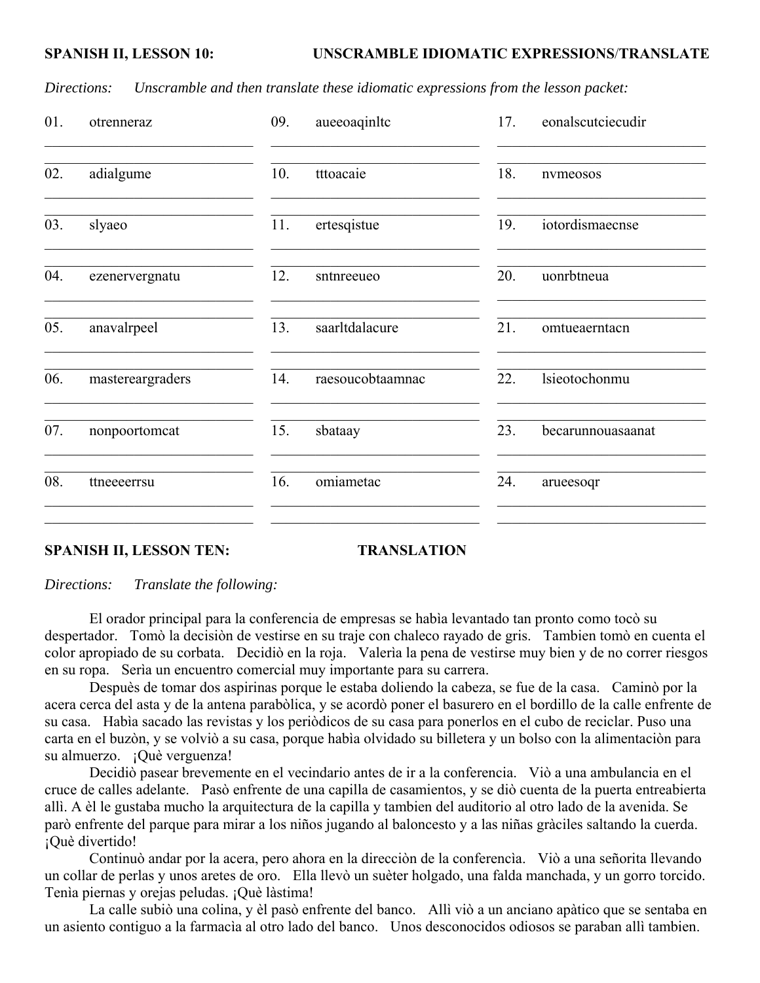*Directions: Unscramble and then translate these idiomatic expressions from the lesson packet:*

| 01. | otrenneraz       | 09.<br>aueeoaqinltc     | eonalscutciecudir<br>17. |
|-----|------------------|-------------------------|--------------------------|
| 02. | adialgume        | 10.<br>tttoacaie        | 18.<br>nymeosos          |
| 03. | slyaeo           | ertesqistue<br>11.      | iotordismaecnse<br>19.   |
| 04. | ezenervergnatu   | 12.<br>sntnreeueo       | 20.<br>uonrbtneua        |
| 05. | anavalrpeel      | saarltdalacure<br>13.   | 21.<br>omtueaerntacn     |
| 06. | mastereargraders | 14.<br>raesoucobtaamnac | 22.<br>lsieotochonmu     |
| 07. | nonpoortomcat    | 15.<br>sbataay          | 23.<br>becarunnouasaanat |
| 08. | ttneeeerrsu      | omiametac<br>16.        | 24.<br>arueesoqr         |
|     |                  |                         |                          |

#### **SPANISH II, LESSON TEN:** TRANSLATION

*Directions: Translate the following:*

 El orador principal para la conferencia de empresas se habìa levantado tan pronto como tocò su despertador. Tomò la decisiòn de vestirse en su traje con chaleco rayado de gris. Tambien tomò en cuenta el color apropiado de su corbata. Decidiò en la roja. Valerìa la pena de vestirse muy bien y de no correr riesgos en su ropa. Serìa un encuentro comercial muy importante para su carrera.

 Despuès de tomar dos aspirinas porque le estaba doliendo la cabeza, se fue de la casa. Caminò por la acera cerca del asta y de la antena parabòlica, y se acordò poner el basurero en el bordillo de la calle enfrente de su casa. Habìa sacado las revistas y los periòdicos de su casa para ponerlos en el cubo de reciclar. Puso una carta en el buzòn, y se volviò a su casa, porque habìa olvidado su billetera y un bolso con la alimentaciòn para su almuerzo. ¡Què verguenza!

 Decidiò pasear brevemente en el vecindario antes de ir a la conferencia. Viò a una ambulancia en el cruce de calles adelante. Pasò enfrente de una capilla de casamientos, y se diò cuenta de la puerta entreabierta allì. A èl le gustaba mucho la arquitectura de la capilla y tambien del auditorio al otro lado de la avenida. Se parò enfrente del parque para mirar a los niños jugando al baloncesto y a las niñas gràciles saltando la cuerda. ¡Què divertido!

 Continuò andar por la acera, pero ahora en la direcciòn de la conferencìa. Viò a una señorita llevando un collar de perlas y unos aretes de oro. Ella llevò un suèter holgado, una falda manchada, y un gorro torcido. Tenìa piernas y orejas peludas. ¡Què làstima!

 La calle subiò una colina, y èl pasò enfrente del banco. Allì viò a un anciano apàtico que se sentaba en un asiento contiguo a la farmacìa al otro lado del banco. Unos desconocidos odiosos se paraban allì tambien.